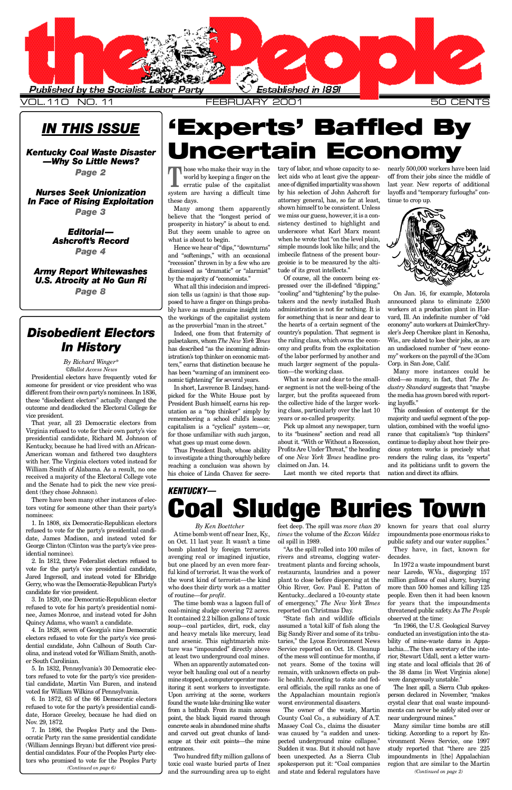### *IN THIS ISSUE*

### *[Kentucky Coal Waste Disaster](#page-1-0) —Why So Little News?*

*Page 2*

*Nurses Seek Unionization [In Face of Rising Exploitation](#page-2-0)*

*Page 3*

### *Ed i t o r i al— [A s h c ro f t 's Record](#page-3-0)*

*Page 4*

*[A rmy Report Whitewashes](#page-7-0) U.S. Atrocity at No Gun Ri Page 8*

> feet deep. The spill was *more than 20 times* the volume of the *Exxon Valdez* oil spill in 1989.

> "As the spill rolled into 100 miles of rivers and streams, clogging watertreatment plants and forcing schools, restaurants, laundries and a power plant to close before dispersing at the Ohio River, Gov. Paul E. Patton of Kentucky...declared a 10-county state of emergency," The New York Times reported on Christmas Day. "State fish and wildlife officials assumed a 'total kill' of fish along the Big Sandy River and some of its tributaries," the Lycos Environment News Service reported on Oct. 18. Cleanup of the mess will continue for months, if not years. Some of the toxins will remain, with unknown effects on public health. According to state and federal officials, the spill ranks as one of the Appalachian mountain region's worst environmental disasters.

The owner of the waste, Martin County Coal Co., a subsidiary of A.T. Massey Coal Co., claims the disaster was caused by "a sudden and unexpected underground mine collapse." Sudden it was. But it should not have been unexpected. As a Sierra Club spokesperson put it: "Coal companies

In short, Lawrence B. Lindsey, handpicked for the White House post by President Bush himself, earns his reputation as a "top thinker" simply by remembering a school child's lesson: capitalism is a "cyclical" system—or, for those unfamiliar with such jargon, what goes up must come down.

> known for years that coal slurry impoundments pose enormous risks to public safety and our water supplies."

> They have, in fact, known for decades.

In 1972 a waste impoundment burst near Laredo, W.Va., disgorging 157 million gallons of coal slurry, burying more than 500 homes and killing 125 people. Even then it had been known for years that the impoundments threatened public safety. As *The People* observed at the time: "In 1966, the U.S. Geological Survey conducted an investigation into the stability of mine-waste dams in Appalachia....The then secretary of the interior, Stewart Udall, sent a letter warning state and local officials that 26 of the 38 dams [in West Virginia alone] were dangerously unstable." The Inez spill, a Sierra Club spokesperson declared in November, "makes crystal clear that coal waste impoundments can never be safely sited over or near underground mines." Many similar time bombs are still ticking. According to a report by Environment News Service, one 1997 study reported that "there are 225 impoundments in [the] Appalachian region that are similar to the Martin

<span id="page-0-0"></span>

V OL.110 NO. 11 F E B R U A RY 2001 50 CENTS

### **T** hose who make their way in the world by keeping a finger on the erratic pulse of the capitalist system are having a difficult time these days.

By Richard Winger\* *©Ballot Access News*

Many among them apparently believe that the "longest period of prosperity in history" is about to end. But they seem unable to agree on what is about to begin.

Hence we hear of "dips," "downturns" and "softenings," with an occasional "recession" thrown in by a few who are dismissed as "dramatic" or "alarmist" by the majority of "economists."

What all this indecision and imprecision tells us (again) is that those supposed to have a finger on things probably have as much genuine insight into the workings of the capitalist system as the proverbial "man in the street."

Indeed, one from that fraternity of pulsetakers, whom *The New York Times* has described "as the incoming administration's top thinker on economic matters," earns that distinction because he has been "warning of an imminent economic tightening" for several years.

6. In 1872, 63 of the 66 Democratic electors refused to vote for the party's presidential candidate, Horace Greeley, because he had died on Nov. 29, 1872.

## *KENTUCKY—* **Coal Sludge Buries Town**

Thus President Bush, whose ability to investigate a thing thoroughly before reaching a conclusion was shown by his choice of Linda Chavez for secre-

*By Ken Boettcher* Atime bomb went off near Inez, Ky. , on Oct. 11 last year. It wasn't a time bomb planted by foreign terrorists avenging real or imagined injustice, but one placed by an even more fearful kind of terrorist. It was the work of the worst kind of terrorist—the kind who does their dirty work as a matter of routine—for *profit*. The time bomb was a lagoon full of coal-mining sludge covering 72 acres. It contained 2.2 billion gallons of toxic soup—coal particles, dirt, rock, clay and heavy metals like mercury, lead and arsenic. This nightmarish mixture was "impounded" directly above at least two underground coal mines. When an apparently automated conveyor belt hauling coal out of a nearby mine stopped, a computer operator monitoring it sent workers to investigate. Upon arriving at the scene, workers found the waste lake draining like water from a bathtub. From its main access point, the black liquid roared through concrete seals in abandoned mine shafts and carved out great chunks of landscape at their exit points—the mine entrances. Two hundred fifty million gallons of toxic coal waste buried parts of Inez and the surrounding area up to eight and state and federal regulators have *(Continued on page 6) (Continued on page 2)*

tary of labor, and whose capacity to select aids who at least give the appearance of dignified impartiality was shown by his selection of John Ashcroft for attorney general, has, so far at least, shown himself to be consistent. Unless we miss our guess, however, it is a consistency destined to highlight and underscore what Karl Marx meant when he wrote that "on the level plain, simple mounds look like hills; and the imbecile flatness of the present bourgeoisie is to be measured by the altitude of its great intellects."

**Experts' Baffled By** 

**Incertain Economy** 

Of course, all the concern being expressed over the ill-defined "dipping," "cooling" and "tightening" by the pulsetakers and the newly installed Bush administration is not for nothing. It is for something that is near and dear to the hearts of a certain segment of the country's population. That segment is the ruling class, which owns the economy and profits from the exploitation of the labor performed by another and much larger segment of the population—the working class.

What is near and dear to the smaller segment is not the well-being of the larger, but the profits squeezed from the collective hide of the larger working class, particularly over the last 10 years or so-called prosperity.

Pick up almost any newspaper, turn to its "business" section and read all about it. "With or Without a Recession, Profits Are Under Threat," the heading of one *New York Times* headline proclaimed on Jan. 14.

Last month we cited reports that

nearly 500,000 workers have been laid off from their jobs since the middle of last year. New reports of additional layoffs and "temporary furloughs" continue to crop up.



On Jan. 16, for example, Motorola announced plans to eliminate 2,500 workers at a production plant in Harvard, Ill. An indefinite number of "old economy" auto workers at DaimlerChrysler's Jeep Cherokee plant in Kenosha, Wis., are slated to lose their jobs, as are an undisclosed number of "new economy" workers on the payroll of the 3Com Corp. in San Jose, Calif.

Many more instances could be cited—so many, in fact, that *The Industry Standard* suggests that "maybe the media has grown bored with reporting layoffs."

This confession of contempt for the majority and useful segment of the population, combined with the woeful ignorance that capitalism's "top thinkers" continue to display about how their precious system works is precisely what renders the ruling class, its "experts" and its politicians unfit to govern the nation and direct its affairs.

### *Disobedient Electors In History*

Presidential electors have frequently voted for someone for president or vice president who was different from their own party's nominees. In 1836, these "disobedient electors" actually changed the outcome and deadlocked the Electoral College for vice president.

That year, all 23 Democratic electors from Virginia refused to vote for their own party's vice presidential candidate, Richard M. Johnson of Kentucky, because he had lived with an African-American woman and fathered two daughters with her. The Virginia electors voted instead for William Smith of Alabama. As a result, no one received a majority of the Electoral College vote and the Senate had to pick the new vice president (they chose Johnson).

There have been many other instances of electors voting for someone other than their party's nominees:

1. In 1808, six Democratic-Republican electors refused to vote for the party's presidential candidate, James Madison, and instead voted for George Clinton (Clinton was the party's vice presidential nominee).

2. In 1812, three Federalist electors refused to vote for the party's vice presidential candidate, Jared Ingersoll, and instead voted for Elbridge Gerry, who was the Democratic-Republican Party's candidate for vice president. 3. In 1820, one Democratic-Republican elector refused to vote for his party's presidential nominee, James Monroe, and instead voted for John Quincy Adams, who wasn't a candidate.

4. In 1828, seven of Georgia's nine Democratic electors refused to vote for the party's vice presidential candidate, John Calhoun of South Carolina, and instead voted for William Smith, another South Carolinian.

5. In 1832, Pennsylvania's 30 Democratic electors refused to vote for the party's vice presidential candidate, Martin Van Buren, and instead voted for William Wilkins of Pennsylvania.

7. In 1896, the Peoples Party and the Democratic Party ran the same presidential candidate ( William Jennings Bryan) but different vice presidential candidates. Four of the Peoples Party electors who promised to vote for the Peoples Party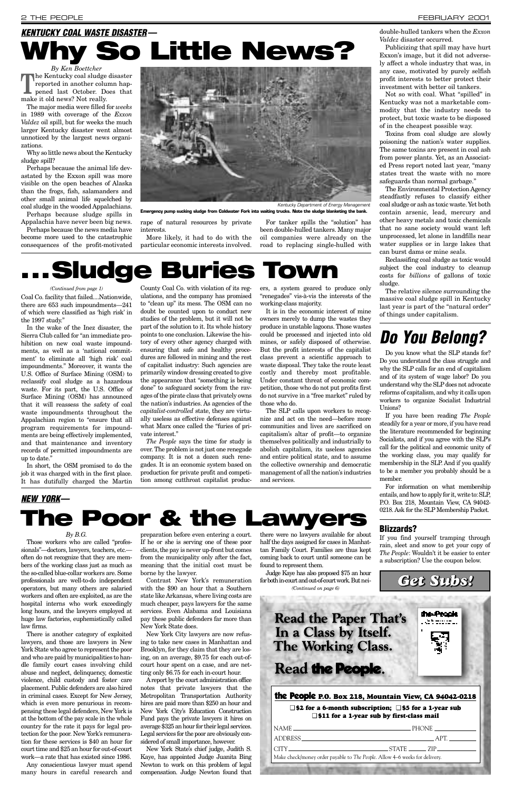*By Ken Boettcher* The Kentucky coal sludge disaster<br>reported in another column hap-<br>pened last October. Does that reported in another column happened last October. Does that make it old news? Not really.

The major media were filled for *weeks* in 1989 with coverage of the *Exxon Valdez* oil spill, but for weeks the much larger Kentucky disaster went almost unnoticed by the largest news organizations.

Why so little news about the Kentucky sludge spill?

Perhaps because the animal life devastated by the Exxon spill was more visible on the open beaches of Alaska than the frogs, fish, salamanders and other small animal life squelched by coal sludge in the wooded Appalachians.

Perhaps because sludge spills in Appalachia have never been big news.

Perhaps because the news media have become more used to the catastrophic consequences of the profit-motivated

rape of natural resources by private interests.

More likely, it had to do with the particular economic interests involved.

For tanker spills the "solution" has been double-hulled tankers. Many major oil companies were already on the road to replacing single-hulled with

### double-hulled tankers when the *Exxon Valdez* disaster occurred.

Publicizing that spill may have hurt Exxon's image, but it did not adversely affect a whole industry that was, in any case, motivated by purely selfish profit interests to better protect their investment with better oil tankers.

Not so with coal. What "spilled" in Kentucky was not a marketable commodity that the industry needs to protect, but toxic waste to be disposed of in the cheapest possible way.

Toxins from coal sludge are slowly poisoning the nation's water supplies. The same toxins are present in coal ash from power plants. Yet, as an Associated Press report noted last year, "many states treat the waste with no more safeguards than normal garbage."

The Environmental Protection Agency steadfastly refuses to classify either coal sludge or ash as toxic waste. Yet both contain arsenic, lead, mercury and other heavy metals and toxic chemicals that no sane society would want left unprocessed, let alone in landfills near water supplies or in large lakes that can burst dams or mine seals.

Reclassifing coal sludge as toxic would subject the coal industry to cleanup costs for *billions* of gallons of toxic sludge.

The relative silence surrounding the massive coal sludge spill in Kentucky last year is part of the "natural order" of things under capitalism.

### *By B.G.*

Those workers who are called "professionals"—doctors, lawyers, teachers, etc. often do not recognize that they are members of the working class just as much as the so-called blue-collar workers are. Some professionals are well-to-do independent operators, but many others are salaried workers and often are exploited, as are the hospital interns who work exceedingly long hours, and the lawyers employed at huge law factories, euphemistically called law firms. There is another category of exploited lawyers, and those are lawyers in New York State who agree to represent the poor and who are paid by municipalities to handle family court cases involving child abuse and neglect, delinquency, domestic violence, child custody and foster care placement. Public defenders are also hired in criminal cases. Except for New Jersey, which is even more penurious in recompensing these legal defenders, New York is at the bottom of the pay scale in the whole country for the rate it pays for legal protection for the poor. New York's remuneration for these services is \$40 an hour for court time and \$25 an hour for out-of-court work—a rate that has existed since 1986. Any conscientious lawyer must spend many hours in careful research and

preparation before even entering a court. If he or she is serving one of these poor clients, the pay is never up-front but comes from the municipality only after the fact, meaning that the initial cost must be borne by the lawyer.

Contrast New York's remuneration

with the \$90 an hour that a Southern state like Arkansas, where living costs are much cheaper, pays lawyers for the same services. Even Alabama and Louisiana pay these public defenders far more than New York State does.

New York City lawyers are now refusing to take new cases in Manhattan and Brooklyn, for they claim that they are losing, on an average, \$9.75 for each out-ofcourt hour spent on a case, and are netting only \$6.75 for each in-court hour.

Areport by the court administration office notes that private lawyers that the Metropolitan Transportation Authority hires are paid more than \$250 an hour and New York City's Education Construction Fund pays the private lawyers it hires on average \$325 an hour for their legal services. Legal services for the poor are obviously considered of small importance, however.

New York State's chief judge, Judith S. Kaye, has appointed Judge Juanita Bing Newton to work on this problem of legal compensation. Judge Newton found that

there were no lawyers available for about half the days assigned for cases in Manhattan Family Court. Families are thus kept coming back to court until someone can be found to represent them.

Judge Kaye has also proposed \$75 an hour for both in-court and out-of-court work. But nei-

Coal Co. facility that failed....Nationwide, there are 653 such impoundments—241 of which were classified as 'high risk' in the 1997 study."

In the wake of the Inez disaster, the Sierra Club called for "an immediate prohibition on new coal waste impoundments, as well as a 'national commitment' to eliminate all 'high risk' coal impoundments." Moreover, it wants the U.S. Office of Surface Mining (OSM) to reclassify coal sludge as a hazardous waste. For its part, the U.S. Office of Surface Mining (OSM) has announced that it will reassess the safety of coal waste impoundments throughout the Appalachian region to "ensure that all program requirements for impoundments are being effectively implemented, and that maintenance and inventory records of permitted impoundments are up to date."

In short, the OSM promised to do the job it was charged with in the first place. It has dutifully charged the Martin County Coal Co. with violation of its regulations, and the company has promised to "clean up" its mess. The OSM can no doubt be counted upon to conduct new studies of the problem, but it will not be part of the solution to it. Its whole history points to one conclusion. Likewise the history of every other agency charged with ensuring that safe and healthy procedures are followed in mining and the rest of capitalist industry: Such agencies are primarily window dressing created to give the appearance that "something is being done" to safeguard society from the ravages of the pirate class that privately owns the nation's industries. As agencies of the *capitalist-controlled* state, they are virtually useless as effective defenses against what Marx once called the "furies of private interest."

*The People* says the time for study is over. The problem is not just one renegade company. It is not a dozen such renegades. It is an economic system based on production for private profit and competition among cutthroat capitalist produc-

ers, a system geared to produce only "renegades" vis-à-vis the interests of the working-class majority.

It is in the economic interest of mine owners merely to dump the wastes they produce in unstable lagoons. Those wastes could be processed and injected into old mines, or safely disposed of otherwise. But the profit interests of the capitalist class prevent a scientific approach to waste disposal. They take the route least costly and thereby most profitable. Under constant threat of economic competition, those who do not put profits first do not survive in a "free market" ruled by those who do.

The SLP calls upon workers to recognize and act on the need—before more communities and lives are sacrificed on capitalism's altar of profit—to organize themselves politically and industrially to abolish capitalism, its useless agencies and entire political state, and to assume the collective ownership and democratic management of all the nation's industries and services.

### <span id="page-1-0"></span>*KENTUCKY COAL WASTE DISASTER—*

# **Why So Little News?**

## *Do You Belong?*

Do you know what the SLP stands for? Do you understand the class struggle and why the SLP calls for an end of capitalism and of its system of wage labor? Do you understand why the SLP does not advocate reforms of capitalism, and why it calls upon workers to organize Socialist Industrial Unions?

If you have been reading *The People* steadily for a year or more, if you have read the literature recommended for beginning Socialists, and if you agree with the SLP's call for the political and economic unity of the working class, you may qualify for membership in the SLP. And if you qualify to be a member you probably should be a member.

For information on what membership entails, and how to apply for it, write to: SLP, P.O. Box 218, Mountain View, CA 94042- 0218. Ask for the SLP Membership Packet.

### the People **P.O. Box 218, Mountain View, CA 94042-0218**

### ❑ **\$2 for a 6-month subscription;** ❑ **\$5 for a 1-year sub** ❑ **\$11 for a 1-year sub by first-class mail**

| NAME –                                                                      | PHONE <b>Example</b> |  |
|-----------------------------------------------------------------------------|----------------------|--|
| ADDRESS ADDRESS                                                             | $\Delta$ $\beta$ 1   |  |
| $CITY$ 21P                                                                  |                      |  |
| Make check/money order payable to The People. Allow 4–6 weeks for delivery. |                      |  |
|                                                                             |                      |  |



**Emergency pump sucking sludge from Coldwater Fork into waiting trucks. Note the sludge blanketing the bank.**

### **Blizzards?**

If you find yourself tramping through rain, sleet and snow to get your copy of *The People*: Wouldn't it be easier to enter a subscription? Use the coupon below.

# **. . . Sludge Buries Town**

#### *(Continued from page 1)*

### *Get Subs!*

### *NEW YORK—* **The Poor & the Lawyers**

*(Continued on page 6)*

the Proph

**Read the Paper That's** In a Class by Itself. **The Working Class.** 

### Read the People.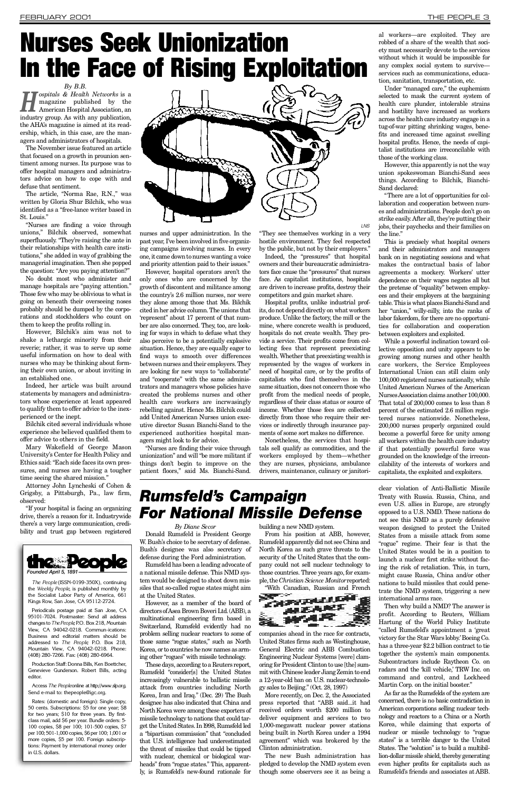*By B.B.*

*H ospitals & Health Networks* is a magazine published by the American Hospital Association, an industry group. As with any publication, the AHA's magazine is aimed at its readership, which, in this case, are the managers and administrators of hospitals.

The November issue featured an article that focused on a growth in prounion sentiment among nurses. Its purpose was to offer hospital managers and administrators advice on how to cope with and defuse that sentiment.

The article, "Norma Rae, R.N.," was written by Gloria Shur Bilchik, who was identified as a "free-lance writer based in St. Louis."

However, Bilchik's aim was not to shake a lethargic minority from their reverie; rather, it was to serve up some useful information on how to deal with nurses who may be thinking about forming their own union, or about inviting in an established one.

"Nurses are finding a voice through unions," Bilchik observed, somewhat superfluously. "They're raising the ante in their relationships with health care institutions," she added in way of grabbing the managerial imagination. Then she popped the question: "Are you paying attention?"

No doubt most who administer and manage hospitals are "paying attention." Those few who may be oblivious to what is going on beneath their overseeing noses probably should be dumped by the corporations and stockholders who count on them to keep the profits rolling in.

Indeed, her article was built around statements by managers and administrators whose experience at least appeared to qualify them to offer advice to the inexperienced or the inept.

However, hospital operators aren't the only ones who are concerned by the growth of discontent and militance among the country's 2.6 million nurses, nor were they alone among those that Ms. Bilchik cited in her advice column. The unions that 'represent" about 17 percent of that number are also concerned. They, too, are looking for ways in which to defuse what they also perceive to be a potentially explosive situation. Hence, they are equally eager to find ways to smooth over differences between nurses and their employers. They are looking for new ways to "collaborate" and "cooperate" with the same administrators and managers whose policies have created the problems nurses and other health care workers are incrwasingly rebelling against. Hence Ms. Bilchik could add United American Nurses union executive director Susan Bianchi-Sand to the experienced authorities hospital managers might look to for advice.

Bilchik cited several individuals whose experience she believed qualified them to offer advice to others in the field.

Mary Wakefield of George Mason University's Center for Health Policy and Ethics said: "Each side faces its own pressures, and nurses are having a tougher time seeing the shared mission."

Attorney John Lyncheski of Cohen & Grigsby, a Pittsburgh, Pa., law firm, observed:

"If your hospital is facing an organizing drive, there's a reason for it. Industrywide there's a very large communication, credibility and trust gap between registered

nurses and upper administration. In the past year, I've been involved in five organizing campaigns involving nurses. In every one, it came down to nurses wanting a voice and priority attention paid to their issues."

However, this apparently is not the way union spokeswoman Bianchi-Sand sees things. According to Bilchik, Bianchi-Sand declared:

"Nurses are finding their voice through unionization" and will "be more militant if things don't begin to improve on the patient floors," said Ms. Bianchi-Sand.

"They see themselves working in a very hostile environment. They feel respected by the public, but not by their employers."

Indeed, the "pressures" that hospital owners and their bureaucratic administrators face cause the "pressures" that nurses face. As capitalist institutions, hospitals are driven to increase profits, destroy their competitors and gain market share.

However, as a member of the board of directors of Asea Brown Boveri Ltd. (ABB), a multinational engineering firm based in Switzerland, Rumsfeld evidently had no problem selling nuclear reactors to some of those same "rogue states," such as North Korea, or to countries he now names as arming other "rogues" with missile technology.

These days, according to a Reuters report, Rumsfeld "consider[s] the United States increasingly vulnerable to ballistic missile attack from countries including North Korea, Iran and Iraq." (Dec. 29) The Bush designee has also indicated that China and North Korea were among these exporters of missile technology to nations that could target the United States. In l998, Rumsfeld led a "bipartisan commission" that "concluded that U.S. intelligence had underestimated the threat of missiles that could be tipped with nuclear, chemical or biological warheads" from "rogue states." This, apparently, is Rumsfeld's new-found rationale for

From his position at ABB, however, Rumsfeld apparently did not see China and North Korea as such grave threats to the security of the United States that the company could not sell nuclear technology to those countries. Three years ago, for example, the *Christian Science Monitor* reported:

Hospital profits, unlike industrial profits, do not depend directly on what workers produce. Unlike the factory, the mill or the mine, where concrete wealth is produced, hospitals do not create wealth. They provide a service. Their profits come from collecting fees that represent preexisting wealth. Whether that preexisting wealth is represented by the wages of workers in need of hospital care, or by the profits of capitalists who find themselves in the same situation, does not concern those who profit from the medical needs of people, regardless of their class status or source of income. Whether those fees are collected directly from those who require their services or indirectly through insurance payments of some sort makes no difference.

Nonetheless, the services that hospitals sell qualify as commodities, and the workers employed by them—whether they are nurses, physicians, ambulance drivers, maintenance, culinary or janitori-

More recently, on Dec. 2, the Associated press reported that "ABB said...it had received orders worth \$200 million to deliver equipment and services to two 1,000-megawatt nuclear power stations being built in North Korea under a 1994 agreement" which was brokered by the Clinton administration.

clear violation of Anti-Ballistic Missile Treaty with Russia. Russia, China, and even U.S. allies in Europe, are strongly opposed to a U.S. NMD. These nations do not see this NMD as a purely defensive weapon designed to protect the United States from a missile attack from some "rogue" regime. Their fear is that the United States would be in a position to launch a nuclear first strike without facing the risk of retaliation. This, in turn, might cause Russia, China and/or other nations to build missiles that could penetrate the NMD system, triggering a new international arms race. Then why build a NMD? The answer is profit. According to Reuters, William Hartung of the World Policy Institute "called Rumsfeld's appointment a 'great victory for the Star Wars lobby. 'Boeing Co. has a three-year \$2.2 billion contract to tie together the system's main components. Subcontractors include Raytheon Co. on radars and the 'kill vehicle,' TRW Inc. on command and control, and Lockheed Martin Corp. on the initial booster." As far as the Rumsfelds of the system are concerned, there is no basic contradiction in American corporations selling nuclear technology and reactors to a China or a North Korea, while claiming that exports of nuclear or missile technology to "rogue states" is a terrible danger to the United States. The "solution" is to build a multibillion-dollar missile shield, thereby generating even higher profits for capitalists such as Rumsfeld's friends and associates at ABB.

al workers—are exploited. They are robbed of a share of the wealth that society must necessarily devote to the services without which it would be impossible for any complex social system to surviveservices such as communications, education, sanitation, transportation, etc.

Under "managed care," the euphemism selected to mask the current system of health care plunder, intolerable strains and hostility have increased as workers across the health care industry engage in a tug-of-war pitting shrinking wages, benefits and increased time against swelling hospital profits. Hence, the needs of capitalist institutions are irreconcilable with those of the working class.

"There are a lot of opportunities for collaboration and cooperation between nurses and administrations. People don't go on strike easily. After all, they're putting their jobs, their paychecks and their families on the line."

This is precisely what hospital owners and their administrators and managers bank on in negotiating sessions and what makes the contractual basis of labor agreements a mockery. Workers' utter dependence on their wages negates all but the pretense of "equality" between employees and their employers at the bargaining table. This is what places Bianchi-Sand and her "union," willy-nilly, into the ranks of labor fakerdom, for there are no opportunities for collaboration and cooperation between exploiters and exploited.

While a powerful inclination toward collective opposition and unity appears to be growing among nurses and other health care workers, the Service Employees International Union can still claim only 100,000 registered nurses nationally, while United American Nurses of the American Nurses Association claims another 100,000. That total of 200,000 comes to less than 8 percent of the estimated 2.6 million registered nurses nationwide. Nonetheless, 200,000 nurses properly organized could become a powerful force for unity among all workers within the health care industry if that potentially powerful force was grounded on the knowledge of the irreconcilability of the interests of workers and capitalists, the exploited and exploiters.

*By Diane Secor*

Donald Rumsfeld is President George W. Bush's choice to be secretary of defense. Bush's designee was also secretary of defense during the Ford administration.

Rumsfeld has been a leading advocate of a national missile defense. This NMD system would be designed to shoot down missiles that so-called rogue states might aim at the United States.

building a new NMD system.

" With Canadian, Russian and French



companies ahead in the race for contracts, United States firms such as Westinghouse, General Electric and ABB Combustion Engineering Nuclear Systems [were] clamoring for President Clinton to use [the] summit with Chinese leader Jiang Zemin to end a 12-year-old ban on U.S. nuclear-technology sales to Beijing." (Oct. 28, 1997)

The new Bush administration has pledged to develop the NMD system even though some observers see it as being a

### *R u m s f e l d 's Campaign For National Missile Defense*



# <span id="page-2-0"></span>Nurses Seek Unionization In the Face of Rising Exploitation



*The People* (ISSN-0199-350X), continuing the *Weekly People*, is published monthly by the Socialist Labor Party of America, 661 Kings Row, San Jose, CA 95112-2724.

Periodicals postage paid at San Jose, CA 95101-7024. Postmaster: Send all address changes to *The People*, P.O. Box 218, Mountain View, CA 94042-0218. Commun-ications: Business and editorial matters should be addressed to *The People*, P.O. Box 218, Mountain View, CA 94042-0218. Phone: (408) 280-7266. Fax: (408) 280-6964.

Production Staff: Donna Bills, Ken Boettcher, Genevieve Gunderson. Robert Bills, acting e ditor.

Access The People online at http://www.slp.org. Send e-mail to: thepeople@igc.org.

Rates: (domestic and foreign): Single copy, 50 cents. Subscriptions: \$5 for one year; \$8 for two years; \$10 for three years. By firstclass mail, add \$6 per year. Bundle orders: 5- 100 copies, \$8 per 100; 101-500 copies, \$7 per 100; 501-1,000 copies, \$6 per 100; 1,001 or more copies, \$5 per 100. Foreign subscriptions: Payment by international money order in U.S. dollars.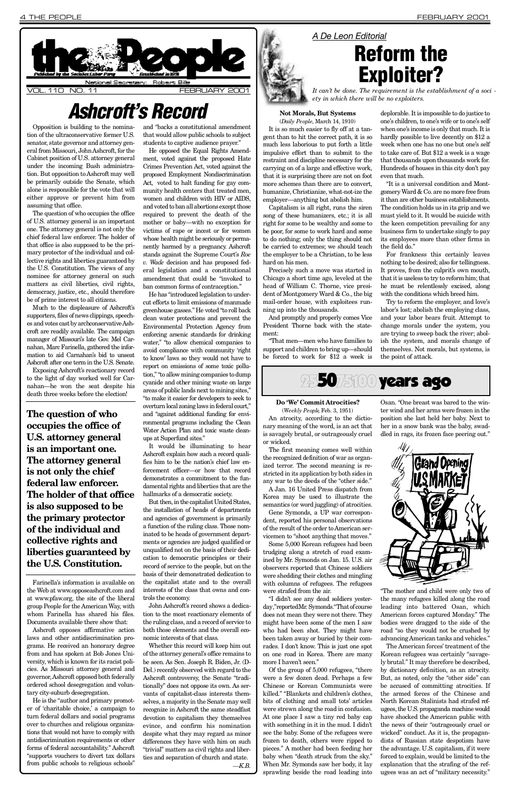(*Weekly People*, Feb. 3, 1951) An atrocity, according to the dictionary meaning of the word, is an act that is savagely brutal, or outrageously cruel or wicked.

The first meaning comes well within the recognized definition of war as organized terror. The second meaning is restricted in its application by both sides in any war to the deeds of the "other side."

Gene Symonds, a UP war correspondent, reported his personal observations of the result of the order to American servicemen to "shoot anything that moves."

A Jan. 16 United Press dispatch from Korea may be used to illustrate the semantics (or word juggling) of atrocities.

"I didn't see any dead soldiers yesterday," reported Mr. Symonds. "That of course does not mean they were not there. They might have been some of the men I saw who had been shot. They might have been taken away or buried by their comrades. I don't know. This is just one spot on one road in Korea. There are many more I haven't seen."

Some 5,000 Korean refugees had been trudging along a stretch of road examined by Mr. Symonds on Jan. 15. U.S. air observers reported that Chinese soldiers were shedding their clothes and mingling with columns of refugees. The refugees were strafed from the air.

Of the group of 5,000 refugees, "there were a few dozen dead. Perhaps a few Chinese or Korean Communists were killed." "Blankets and children's clothes, bits of clothing and small tots' articles were strewn along the road in confusion. At one place I saw a tiny red baby cap with something in it in the mud. I didn't see the baby. Some of the refugees were frozen to death, others were ripped to pieces." A mother had been feeding her baby when "death struck from the sky." When Mr. Symonds saw her body, it lay sprawling beside the road leading into



Osan. "One breast was bared to the winter wind and her arms were frozen in the position she last held her baby. Next to her in a snow bank was the baby, swaddled in rags, its frozen face peering out."



Much to the displeasure of Ashcroft's supporters, files of news clippings, speeches and votes cast by archconservative Ashcroft are readily available. The campaign manager of Missouri's late Gov. Mel Carnahan, Marc Farinella, gathered the information to aid Carnahan's bid to unseat Ashcroft after one term in the U.S. Senate.

> "The mother and child were only two of the many refugees killed along the road leading into battered Osan, which American forces captured Monday." The bodies were dragged to the side of the road "so they would not be crushed by advancing American tanks and vehicles."

Exposing Ashcroft's reactionary record to the light of day worked well for Carnahan—he won the seat despite his death three weeks before the election!

> The American forces' treatment of the Korean refugees was certainly "savagely brutal." It may therefore be described, by dictionary definition, as an atrocity. But, as noted, only the "other side" can be accused of committing atrocities. If the armed forces of the Chinese and North Korean Stalinists had strafed refugees, the U.S. propaganda machine would have shocked the American public with the news of their "outrageously cruel or wicked" conduct. As it is, the propagandists of Russian state despotism have the advantage. U.S. capitalism, if it were forced to explain, would be limited to the explanation that the strafing of the refugees was an act of "military necessity. "

Farinella's information is available on the Web at www.opposeashcroft.com and at www.pfaw.org, the site of the liberal group People for the American Way, with whom Farinella has shared his files. Documents available there show that: Ashcroft opposes affirmative action laws and other antidiscrimination programs. He received an honorary degree from and has spoken at Bob Jones University, which is known for its racist policies. As Missouri attorney general and governor, Ashcroft opposed both federally ordered school desegregation and voluntary city-suburb desegregation. He is the "author and primary promoter of 'charitable choice,' a campaign to turn federal dollars and social programs over to churches and religious organizations that would not have to comply with antidiscrimination requirements or other forms of federal accountability." Ashcroft "supports vouchers to divert tax dollars from public schools to religious schools"

and "backs a constitutional amendment that would allow public schools to subject students to captive audience prayer."

He opposed the Equal Rights Amendment, voted against the proposed Hate Crimes Prevention Act, voted against the proposed Employment Nondiscrimination Act, voted to halt funding for gay community health centers that treated men, women and children with HIV or AIDS, and voted to ban all abortions except those required to prevent the death of the mother or baby—with no exception for victims of rape or incest or for women whose health might be seriously or permanently harmed by a pregnancy. Ashcroft stands against the Supreme Court's Roe *v. Wade* decision and has proposed federal legislation and a constitutional amendment that could be "invoked to ban common forms of contraception."

He has "introduced legislation to undercut efforts to limit emissions of manmade greenhouse gasses." He voted "to roll back clean water protections and prevent the Environmental Protection Agency from enforcing arsenic standards for drinking water," "to allow chemical companies to avoid compliance with community 'right to know' laws so they would not have to report on emissions of some toxic pollution," "to allow mining companies to dump cyanide and other mining waste on large areas of public lands next to mining sites," "to make it easier for developers to seek to overturn local zoning laws in federal court," and "against additional funding for environmental programs including the Clean Water Action Plan and toxic waste cleanups at Superfund sites."

Opposition is building to the nomination of the ultraconservative former U.S. senator, state governor and attorney general from Missouri, John Ashcroft, for the Cabinet position of U.S. attorney general under the incoming Bush administration. But opposition to Ashcroft may well be primarily outside the Senate, which alone is responsible for the vote that will either approve or prevent him from assuming that office.

The question of who occupies the office of U.S. attorney general is an important one. The attorney general is not only the chief federal law enforcer. The holder of that office is also supposed to be the primary protector of the individual and collective rights and liberties guaranteed by the U.S. Constitution. The views of any nominee for attorney general on such matters as civil liberties, civil rights, de mocracy, justice, etc., should therefore be of prime interest to all citizens.

> John Ashcroft's record shows a dedication to the most reactionary elements of the ruling class, and a record of service to both those elements and the overall economic interests of that class.

"It is a universal condition and Montgomery Ward & Co. are no more free from it than are other business establishments. The condition holds us in its grip and we must yield to it. It would be suicide with the keen competition prevailing for any business firm to undertake singly to pay its employees more than other firms in the field do."

*A De Leon Editorial* **Reform the** Exploiter?

It would be illuminating to hear Ashcroft explain how such a record qualifies him to be the nation's chief law enforcement officer—or how that record demonstrates a commitment to the fundamental rights and liberties that are the hallmarks of a democratic society.

But then, in the capitalist United States, the installation of heads of departments and agencies of government is primarily a function of the ruling class. Those nominated to be heads of government departments or agencies are judged qualified or unqualified not on the basis of their dedication to democratic principles or their record of service to the people, but on the basis of their demonstrated dedication to the capitalist state and to the overall interests of the class that owns and controls the economy.



Whether this record will keep him out of the attorney general's office remains to be seen. As Sen. Joseph R. Biden, Jr. (D-Del.) recently observed with regard to the Ashcroft controversy, the Senate "traditionally" does not oppose its own. As servants of capitalist-class interests themselves, a majority in the Senate may well recognize in Ashcroft the same steadfast devotion to capitalism they themselves evince, and confirm his nomination despite what they may regard as minor differences they have with him on such "trivial" matters as civil rights and liberties and separation of church and state. *— K . B .*

### **Not Morals, But Systems**

(*Daily People*, March 14, 1910) It is so much easier to fly off at a tangent than to hit the correct path, it is so much less laborious to put forth a little impulsive effort than to submit to the restraint and discipline necessary for the carrying on of a large and effective work, that it is surprising there are not on foot more schemes than there are to convert, humanize, Christianize, what-not-ize the employer—anything but abolish him.

Capitalism is all right, runs the siren song of these humanizers, etc.; it is all right for some to be wealthy and some to be poor, for some to work hard and some to do nothing; only the thing should not be carried to extremes; we should teach the employer to be a Christian, to be less hard on his men.

Precisely such a move was started in Chicago a short time ago, leveled at the head of William C. Thorne, vice president of Montgomery Ward & Co., the big mail-order house, with exploitees running up into the thousands.

And promptly and properly comes Vice President Thorne back with the statement:

"That men—men who have families to support and children to bring up—should be forced to work for \$12 a week is

deplorable. It is impossible to do justice to one's children, to one's wife or to one's self when one's income is only that much. It is hardly possible to live decently on \$12 a week when one has no one but one's self to take care of. But \$12 a week is a wage that thousands upon thousands work for. Hundreds of houses in this city don't pay even that much.

For frankness this certainly leaves nothing to be desired; also for tellingness. It proves, from the culprit's own mouth, that it is useless to try to reform him; that he must be relentlessly excised, along with the conditions which breed him.

Try to reform the employer, and love's labor's lost; abolish the employing class, and your labor bears fruit. Attempt to change morals under the system, you are trying to sweep back the river; abolish the system, and morals change of themselves. Not morals, but systems, is the point of attack.

### 255075100 years ago

### **Do 'We' Commit Atrocities?**

<span id="page-3-0"></span>

## *A s h c ro f t 's Record*

*It can't be done. The requirement is the establishment of a soci ety in which there will be no exploiters.*

**The question of who occupies the office of U.S. attorney general is an important one. The attorney general is not only the chief federal law enforcer. The holder of that office is also supposed to be the primary protector of the individual and collective rights and liberties guaranteed by the U.S. Constitution.**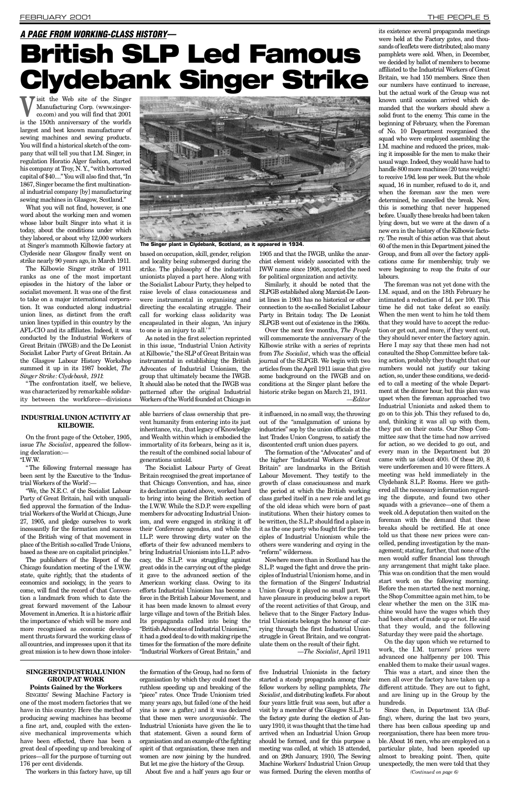SINGERS' Sewing Machine Factory is one of the most modern factories that we have in this country. Here the method of producing sewing machines has become a fine art, and, coupled with the extensive mechanical improvements which have been effected, there has been a great deal of speeding up and breaking of prices—all for the purpose of turning out 176 per cent dividends.

The workers in this factory have, up till

the formation of the Group, had no form of organisation by which they could meet the ruthless speeding up and breaking of the "piece" rates. Once Trade Unionism tried many years ago, but failed (one of the heid yins is now a gafter,) and it was declared that these men were *unorganisable*. The Industrial Unionists have given the lie to that statement. Given a sound form of organisation and an example of the fighting spirit of that organisation, these men and women are now joining by the hundred. But let me give the history of the Group.

its existence several propaganda meetings were held at the Factory gates, and thousands of leaflets were distributed; also many pamphlets were sold. When, in December, we decided by ballot of members to become affiliated to the Industrial Workers of Great Britain, we had 150 members. Since then our numbers have continued to increase, but the actual work of the Group was not known until occasion arrived which demanded that the workers should shew a solid front to the enemy. This came in the beginning of February, when the Foreman of No. 10 Department reorganised the squad who were employed assembling the I.M. machine and reduced the prices, making it impossible for the men to make their usual wage. Indeed, they would have had to handle 800 more machines (20 tons weight) to receive 1/9d. less per week. But the whole squad, 16 in number, refused to do it, and when the foreman saw the men were determined, he cancelled the break. Now, this is something that never happened before. Usually these breaks had been taken lying down, but we were at the dawn of a new era in the history of the Kilbowie factory. The result of this action was that about 60 of the men in this Department joined the Group, and from all over the factory applications came for membership; truly we were beginning to reap the fruits of our labours.

About five and a half years ago four or

five Industrial Unionists in the factory started a steady propaganda among their fellow workers by selling pamphlets, *The* Socialist, and distributing leaflets. For about four years little fruit was seen, but after a visit by a member of the Glasgow S.L.P. to the factory gate during the election of January 1910, it was thought that the time had arrived when an Industrial Union Group should be formed, and for this purpose a meeting was called, at which 18 attended, and on 29th January, 1910, The Sewing Machine Workers' Industrial Union Group was formed. During the eleven months of

The foreman was not yet done with the I.M. squad, and on the 18th February he intimated a reduction of 1d. per 100. This time he did not take defeat so easily. When the men went to him he told them that they would have to accept the reduction or get out, and more, if they went out, they should never enter the factory again. Here I may say that these men had not consulted the Shop Committee before taking action, probably they thought that our numbers would not justify our taking action, so, under these conditions, we decided to call a meeting of the whole Department at the dinner hour, but this plan was upset when the foreman approached two Industrial Unionists and asked them to go on to this job. This they refused to do, and, thinking it was all up with them, they put on their coats. Our Shop Committee saw that the time had now arrived for action, so we decided to go out, and every man in the Department but 20 came with us (about 400). Of these 20, 8 were underforemen and 10 were fitters. A meeting was held immediately in the Clydebank S.L.P. Rooms. Here we gathered all the necessary information regarding the dispute, and found two other squads with a grievance—one of them a week old. A deputation then waited on the foreman with the demand that these breaks should be rectified. He at once told us that these new prices were cancelled, pending investigation by the management; stating, further, that none of the men would suffer financial loss through any arrangement that might take place. This was on condition that the men would start work on the following morning. Before the men started the next morning, the Shop Committee again met him, to be clear whether the men on the 31K machine would have the wages which they had been short of made up or not. He said that they would, and the following Saturday they were paid the shortage. On the day upon which we returned to work, the I.M. turners' prices were advanced one halfpenny per 100. This enabled them to make their usual wages. This was a start, and since then the men all over the factory have taken up a different attitude. They are out to fight, and are lining up in the Group by the hundreds. Since then, in Department 13A (Buffing), where, during the last two years, there has been callous speeding up and reorganisation, there has been more trouble. About 16 men, who are employed on a particular plate, had been speeded up almost to breaking point. Then, quite un expectedly, the men were told that they

**V**isit the Web site of the Singer Manufacturing Corp. (www.singer-<br>co.com) and you will find that 2001 Manufacturing Corp. (www.singerco.com) and you will find that 2001 is the 150th anniversary of the world's largest and best known manufacturer of sewing machines and sewing products. You will find a historical sketch of the company that will tell you that I.M. Singer, in regulation Horatio Alger fashion, started his company at Troy, N.Y., "with borrowed capital of \$40...." You will also find that, "In 1867, Singer became the first multinational industrial company [by] manufacturing sewing machines in Glasgow, Scotland."

What you will not find, however, is one word about the working men and women whose labor built Singer into what it is today, about the conditions under which they labored, or about why 12,000 workers at Singer's mammoth Kilbowie factory at Clydeside near Glasgow finally went on strike nearly 90 years ago, in March 1911.

The confrontation itself, we believe, was characterized by remarkable solidarity between the workforce—divisions based on occupation, skill, gender, religion and locality being submerged during the strike. The philosophy of the industrial unionists played a part here. Along with the Socialist Labour Party, they helped to raise levels of class consciousness and were instrumental in organising and directing the escalating struggle. Their call for working class solidarity was encapsulated in their slogan, 'An injury to one is an injury to all."

Similarly, it should be noted that the SLPGB established along Marxist-De Leonist lines in 1903 has no historical or other connection to the so-called Socialist Labour Party in Britain today. The De Leonist SLPGB went out of existence in the 1960s.

The Kilbowie Singer strike of 1911 ranks as one of the most important episodes in the history of the labor or socialist movement. It was one of the first to take on a major international corporation. It was conducted along industrial union lines, as distinct from the craft union lines typified in this country by the AFL-CIO and its affiliates. Indeed, it was conducted by the Industrial Workers of Great Britain (IWGB) and the De Leonist Socialist Labor Party of Great Britain. As the Glasgow Labour History Workshop summed it up in its 1987 booklet, The *Singer Strike: Clydebank, 1911*:

As noted in the first selection reprinted in this issue, "Industrial Union Activity" at Kilbowie," the SLP of Great Britain was instrumental in establishing the British Advocates of Industrial Unionism, the group that ultimately became the IWGB. It should also be noted that the IWGB was patterned after the original Industrial Workers of the World founded at Chicago in

1905 and that the IWGB, unlike the anarchist element widely associated with the IWW name since 1908, accepted the need for political organization and activity.

Over the next few months, *The People* will commemorate the anniversary of the Kilbowie strike with a series of reprints from *The Socialist*, which was the official journal of the SLPGB. We begin with two articles from the April 1911 issue that give some background on the IWGB and on conditions at the Singer plant before the historic strike began on March 21, 1911. *— E d i t o r*

### **KILBOWIE. INDUSTRIAL UNION ACTIVITY AT**

## *A PAGE FROM WORKING-CLASS HISTORY—* British SLP Led Famous Clydebank Singer Strike

On the front page of the October, 1905, issue *The Socialist*, appeared the following declaration:—

 $^{\circ}$ I.W.W.

" The following fraternal message has been sent by the Executive to the 'Industrial Workers of the World':—

" We, the N.E.C. of the Socialist Labour Party of Great Britain, hail with unqualified approval the formation of the Industrial Workers of the World at Chicago, June 27, 1905, and pledge ourselves to work incessantly for the formation and success of the British wing of that movement in place of the British so-called Trade Unions, based as these are on capitalist principles."

The publishers of the Report of the Chicago foundation meeting of the I.W. W. state, quite rightly, that the students of

economics and sociology, in the years to come, will find the record of that Convention a landmark from which to date the great forward movement of the Labour Movement in America. It is a historic affair the importance of which will be more and more recognised as economic development thrusts forward the working class of all countries, and impresses upon it that its great mission is to hew down those intoler-

### $S INGERS'INDUSTRIALUNION$ **GROUP AT WORK**

### **Points Gained by the Workers**

able barriers of class ownership that prevent humanity from entering into its just inheritance, viz., that legacy of Knowledge and Wealth within which is embodied the immortality of its forbears, being as it is, the result of the combined social labour of generations untold.

The Socialist Labour Party of Great Britain recognised the great importance of that Chicago Convention, and has, since its declaration quoted above, worked hard to bring into being the British section of the I.W.W. While the S.D.P. were expelling members for advocating Industrial Unionism, and were engaged in striking it off their Conference agendas, and while the I.L.P. were throwing dirty water on the efforts of their few advanced members to bring Industrial Unionism into LLP advocacy, the S.L.P. was struggling against great odds in the carrying out of the pledge it gave to the advanced section of the American working class. Owing to its efforts Industrial Unionism has become a force in the British Labour Movement, and it has been made known to almost every large village and town of the British Isles. Its propaganda called into being the "British Advocates of Industrial Unionism," it had a good deal to do with making ripe the times for the formation of the more definite "Industrial Workers of Great Britain," and

it influenced, in no small way, the throwing out of the "amalgamation of unions by industries" sop by the union officials at the last Trades Union Congress, to satisfy the discontented craft union dues payers.

The formation of the "Advocates" and of the higher "Industrial Workers of Great Britain" are landmarks in the British Labour Movement. They testify to the growth of class consciousness and mark the period at which the British working class garbed itself in a new role and let go of the old ideas which were born of past institutions. When their history comes to be written, the S.L.P. should find a place in it as the one party who fought for the principles of Industrial Unionism while the others were wandering and crying in the "reform" wilderness.

Nowhere more than in Scotland has the S.L.P. waged the fight and drove the principles of Industrial Unionism home, and in Union Group it played no small part. We have pleasure in producing below a report of the recent activities of that Group, and believe that to the Singer Factory Industrial Unionists belongs the honour of carrying through the first Industrial Union struggle in Great Britain, and we congratulate them on the result of their fight. —*The Socialist*, April 1911 the formation of the Singers' Industrial



*(Continued on page 6)*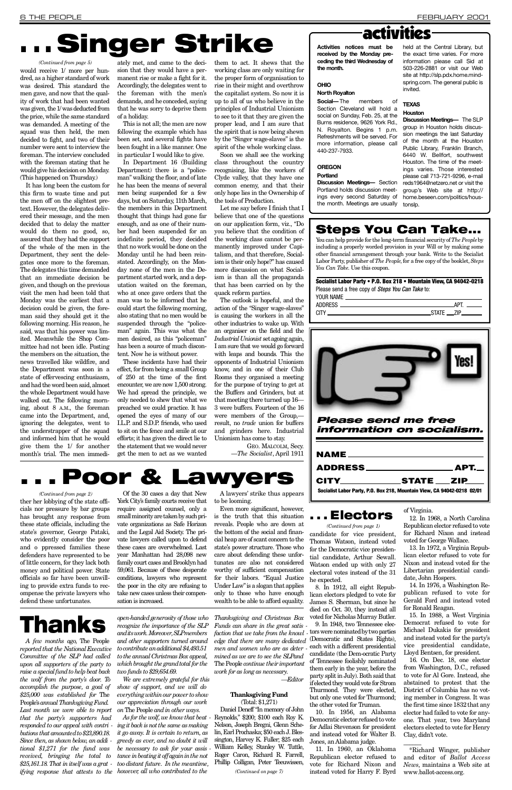# Singer Strike

10. In 1956, an Alabama Democratic elector refused to vote for Adlai Stevenson for president and instead voted for Walter B. Jones, an Alabama judge.

8. In 1912, all eight Republican electors pledged to vote for James S. Sherman, but since he died on Oct. 30, they instead all voted for Nicholas Murray Butler. 9. In 1948, two Tennessee electors were nominated by two parties (Democratic and States Rights), each with a different presidential candidate (the Dem-ocratic Party of Tennessee foolishly nominated them early in the year, before the party split in July). Both said that if elected they would vote for Strom Thurmond. They were elected, but only one voted for Thurmond; the other voted for Truman.

13. In 1972, a Virginia Republican elector refused to vote for Nixon and instead voted for the Libertarian presidential candidate, John Hospers. 14. In 1976, a Washington Republican refused to vote for Gerald Ford and instead voted for Ronald Reagan. 15. In 1988, a West Virginia Democrat refused to vote for Michael Dukakis for president and instead voted for the party's vice presidential candidate, Lloyd Bentsen, for president. 16. On Dec. 18, one elector from Washington, D.C., refused to vote for Al Gore. Instead, she abstained to protest that the District of Columbia has no voting member in Congress. It was the first time since 1832 that any elector had failed to vote for anyone. That year, two Maryland electors elected to vote for Henry Clay, didn't vote.

11. In 1960, an Oklahoma Republican elector refused to vote for Richard Nixon and instead voted for Harry F. Byrd

 $\overline{\phantom{a}}$ \*Richard Winger, publisher and editor of *Ballot Access News*, maintains a Web site at www.ballot-access.org.

of Virginia.

*A few months ago,* The People *reported that the National Executive Committee of the SLP had called upon all supporters of the party to raise a special fund to help beat back the wolf from the party's door. To accomplish the purpose, a goal of* \$25,000 was established for The People's *annual Thanksgiving Fund. Last month we were able to report that the party's supporters had responded to our appeal with contri butions that amounted to \$23,890.18. Since then, as shown below, an addi tional \$1,271 for the fund was received, bringing the total to \$25,161.18. That in itself was a grat ifying response that attests to the however, all who contributed to the* 

12. In 1968, a North Carolina Republican elector refused to vote for Richard Nixon and instead voted for George Wallace.

Daniel Deneff "In memory of John Reynolds," \$200; \$100 each Roy K. Nelson, Joseph Bregni, Glenn Schelin, Earl Prochaska; \$50 each J. Blessington, Harvey K. Fuller; \$25 each William Kelley, Stanley W. Tuttle, Roger Caron, Richard R. Farrell, Phillip Colligan, Peter Teeuwissen,

A lawyers' strike thus appears to be looming.

*open-handed generosity of those who recognize the importance of the SLP*  $and its work. Moreover, SLP members$ *and other supporters turned around to contribute an additional \$4,493.51 to the annual Christmas Box appeal, which brought the grand total for the two funds to \$29,654.69.*

It has long been the custom for this firm to waste time and put the men off on the slightest pretext. However, the delegates delivered their message, and the men decided that to delay the matter would do them no good, so, assured that they had the support of the whole of the men in the Department, they sent the delegates once more to the foreman. The delegates this time demanded that an immediate decision be given, and though on the previous visit the men had been told that Monday was the earliest that a decision could be given, the foreman said they should get it the following morning. His reason, he said, was that his power was limited. Meanwhile the Shop Committee had not been idle. Posting the members on the situation, the news travelled like wildfire, and the Department was soon in a state of effervescing enthusiasm, and had the word been said, almost the whole Department would have walked out. The following morning, about 8 A.M., the foreman came into the Department, and, ignoring the delegates, went to the understrapper of the squad and informed him that he would give them the 1/ for another month's trial. The men immedi-

> *We are extremely grateful for this show of support, and we will do everything within our power to show our appreciation through our work on* The People *and in other ways. As for the wolf, we know that beat ing it back is not the same as making it go away. It is certain to return, as greedy as ever, and no doubt it will be necessary to ask for your assis tance in beating it off again in the not too distant future. In the meantime,*

*Thanksgiving and Christmas Box Funds can share in the great satis faction that we take from the knowl edge that there are many dedicated men and women who are as deter mined as we are to see the SLPand* The People *continue their important work for as long as necessary.*

*— E d i t o r*

### **Thanksgiving Fund** ( Total: \$1,271)



ADDRESS APT.

CITY\_\_\_\_\_\_\_\_\_\_\_\_\_\_STATE \_\_\_\_ZIP\_ Socialist Labor Party, P.O. Box 218, Mountain View, CA 94042-0218 02/01

These incidents have had their effect, for from being a small Group of 250 at the time of the first en counter, we are now  $1,500$  strong. We had spread the principle, we only needed to shew that what we preached we could practice. It has opened the eyes of many of our I.L.P. and S.D.P. friends, who used to sit on the fence and smile at our efforts; it has given the direct lie to the statement that we would never get the men to act as we wanted

ther her lobbying of the state officials nor pressure by bar groups has brought any response from these state officials, including the state's governor, George Pataki, who evidently consider the poor and o ppressed families these defenders have represented to be of little concern, for they lack both money and political power. State officials so far have been unwill-

ing to provide extra funds to recompense the private lawyers who defend these unfortunates.

Of the 30 cases a day that New York City's family courts receive that require assigned counsel, only a small minority are taken by such private organizations as Safe Horizon and the Legal Aid Society. The private lawyers called upon to defend these cases are overwhelmed. Last year Manhattan had 28,098 new family court cases and Brooklyn had 59,061. Because of these desperate conditions, lawyers who represent

the poor in the city are refusing to take new cases unless their compensation is increased.

GEO. MALCOLM, Secy. —*The Socialist*, April 1911

Even more significant, however, is the truth that this situation  $\blacksquare$ . Electors reveals. People who are down at the bottom of the social and financial heap are of scant concern to the state's power structure. Those who care about defending these unfortunates are also not considered worthy of sufficient compensation for their labors. "Equal Justice



Under Law" is a slogan that applies only to those who have enough wealth to be able to afford equality.

**Discussion Meetings-** Section Portland holds discussion meetings every second Saturday of the month. Meetings are usually

held at the Central Library, but the exact time varies. For more information please call Sid at 503-226-2881 or visit our Web site at http://slp.pdx.home.mindspring.com. The general public is invited.

### **TEXAS Houston**

## . . . Poor & Lawyers

*(Continued from page 2)*

**Discussion Meetings—** The SLP group in Houston holds discussion meetings the last Saturday of the month at the Houston Public Library, Franklin Branch, 6440 W. Bellfort, southwest Houston. The time of the meetings varies. Those interested please call 713-721-9296, e-mail reds 1964@netzero.net or visit the group's Web site at http:// home.beseen.com/politics/houstonslp.

candidate for vice president, Thomas Watson, instead voted for the Democratic vice presidential candidate, Arthur Sewall. Watson ended up with only 27 electoral votes instead of the 31 he expected. *(Continued from page 1)*



ately met, and came to the decision that they would have a permanent rise or make a fight for it. Accordingly, the delegates went to the foreman with the men's demands, and he conceded, saying that he was sorry to deprive them of a holiday.

This is not all; the men are now following the example which has been set, and several fights have been fought in a like manner. One in particular I would like to give.

In Department 16 (Building Department) there is a "policeman" walking the floor, and of late he has been the means of several men being suspended for a few days, but on Saturday, 11th March, the members in this Department thought that things had gone far enough, and as one of their number had been suspended for an indefinite period, they decided that no work would be done on the Monday until he had been reinstated. Accordingly, on the Monday none of the men in the Department started work, and a deputation waited on the foreman, who at once gave orders that the man was to be informed that he could start the following morning, also stating that no men would be suspended through the "policeman" again. This was what the men desired, as this "policeman" has been a source of much discontent. Now he is without power.

### would receive 1/ more per hundred, as a higher standard of work was desired. This standard the men gave, and now that the quality of work that had been wanted was given, the 1/ was deducted from the price, while the same standard was demanded. A meeting of the squad was then held, the men decided to fight, and two of their number were sent to interview the foreman. The interview concluded with the foreman stating that he would give his decision on Monday. (This happened on Thursday.) *(Continued from page 5)*

them to act. It shews that the working class are only waiting for the proper form of organisation to rise in their might and overthrow the capitalist system. So now it is up to all of us who believe in the principles of Industrial Unionism to see to it that they are given the proper lead, and I am sure that the spirit that is now being shewn by the "Singer wage-slaves" is the spirit of the whole working class.

Soon we shall see the working class throughout the country recognising, like the workers of Clyde valley, that they have one common enemy, and that their only hope lies in the Ownership of the tools of Production.

Let me say before I finish that I believe that one of the questions on our application form, viz., "Do you believe that the condition of the working class cannot be permanently improved under Capitalism, and that therefore, Socialism is their only hope?" has caused more discussion on what Socialism is than all the propaganda that has been carried on by the quack reform parties.

The outlook is hopeful, and the action of the "Singer wage-slaves" is causing the workers in all the other industries to wake up. With an organiser on the field and the *Industrial Unionist* set agoing again, I am sure that we would go forward with leaps and bounds. This the opponents of Industrial Unionism know, and in one of their Club Rooms they organised a meeting for the purpose of trying to get at the Buffers and Grinders, but at that meeting there turned up 16— 3 were buffers. Fourteen of the 16 were members of the Group, result, no *trade* union for buffers and grinders here. Industrial Unionism has come to stay.

**Activities notices must be received by the Monday preceding the third Wednesday of the month.**

### **OHIO**

### **North Royalton**

**Social**—The members of Section Cleveland will hold a social on Sunday, Feb. 25, at the Burns residence, 9626 York Rd., N. Royalton. Begins 1 p.m. Refreshments will be served. For more information, please call 440-237-7933.

**OREGON** 

**Portland** 

### Steps You Can Take...

You can help provide for the long-term financial security of *The People* by including a properly worded provision in your Will or by making some other financial arrangement through your bank. Write to the Socialist Labor Party, publisher of *The People*, for a free copy of the booklet, *Steps You Can Take*. Use this coupon.

| Socialist Labor Party • P.O. Box 218 • Mountain View, CA 94042-0218 |                        |  |
|---------------------------------------------------------------------|------------------------|--|
| Please send a free copy of <i>Steps You Can Take</i> to:            |                        |  |
|                                                                     |                        |  |
|                                                                     | APT. ______            |  |
|                                                                     | $\_STATE$ $\_ZIP$ $\_$ |  |

## Thanks

*(Continued on page 7)*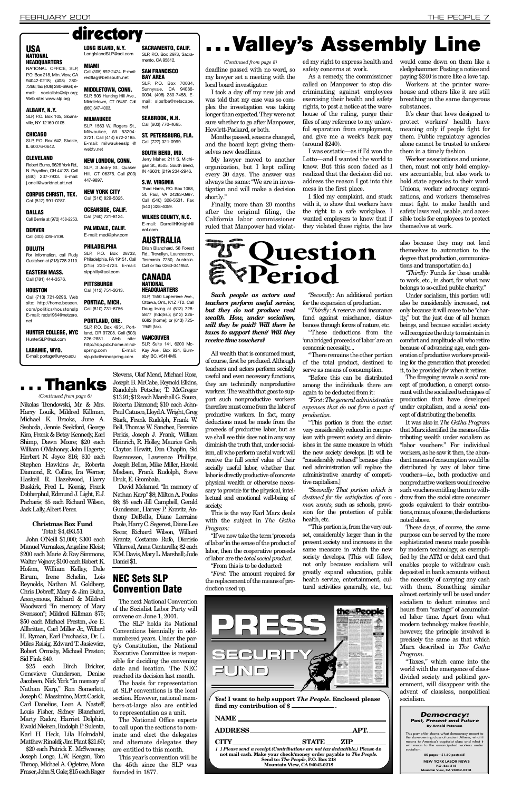## **HEADQUARTERS**

NATIONAL OFFICE, SLP. P.O. Box 218, Mtn. View, CA 94042-0218; (408) 280- 7266; fax (408) 280-6964; e mail: socialists@slp.org; Web site: www.slp.org

### ALBANY, N.Y.

deadline passed with no word, so my lawyer set a meeting with the local board investigator.

My lawyer moved to another organization, but I kept calling every 30 days. The answer was always the same: "We are in investigation and will make a decision shortly."

I took a day off my new job and was told that my case was so complex the investigation was taking longer than expected. They were not sure whether to go after Manpower, Hewlett-Packard, or both.

Finally, more than 20 months after the original filing, the California labor commissioner

Months passed, seasons changed, and the board kept giving themselves new deadlines.

ed my right to express health and safety concerns at work.

> Workers at the printer warehouse and others like it are still breathing in the same dangerous substances.

As a remedy, the commissioner called on Manpower to stop discriminating against employees exercising their health and safety rights, to post a notice at the warehouse of the ruling, purge their files of any reference to my unlawful separation from employment, and give me a week's back pay (around \$240).

It's clear that laws designed to protect workers' health have meaning only if people fight for them. Public regulatory agencies alone cannot be trusted to enforce them in a timely fashion.

I was ecstatic—as if I'd won the Lotto—and I wanted the world to know. But this soon faded as I realized that the decision did not address the reason I got into this mess in the first place.

SLP, P.O. Box 105, Sloansville, NY 12160-0105.

### **CHICAGO**

SLP, P.O. Box 642, Skokie, IL 60076-0642.

### **CLEVELAND**

Robert Burns, 9626 York Rd., N. Royalton, OH 44133. Call (440) 237-7933. E-mail: i oneil@worldnet att net

> I filed my complaint, and stuck with it, to show that workers have the right to a safe workplace. I wanted employers to know that if they violated these rights, the law

Period

**CORPUS CHRISTI, TEX.** Call (512) 991-0287.

#### **DALLAS** Call Bernie at (972) 458-2253.

**DENVER** Call (303) 426-5108.

### **DULUTH** For information, call Rudy

would come down on them like a sledgehammer. Posting a notice and paying \$240 is more like a love tap.

HUNTER COLLEGE, NYC HunterSLP@aol.com

LARAMIE, WYO. E-mail: portage@uwyo.edu

**Thanks** 

LONG ISLAND, N.Y. LongIslandSLP@aol.com

directory

**MIAMI** 

(860) 347-4003. **MILWAUKEE** 

447-9897.

SLP, 3 Jodry St., Quaker Hill, CT 06375. Call (203) Jerry Maher, 211 S. Michiaan St., #505, South Bend, IN 46601; (219) 234-2946.

PALMDALE, CALIF. E-mail: med@ptw.com

slpphilly@aol.com **PITTSBURGH** Call (412) 751-2613. PONTIAC, MICH.

Call (713) 721-9296. Web site: http://home.heseen com/politics/houstonslp E-mail: reds1964@netzero. net Call (810) 731-6756.

Worker associations and unions, then, must not only hold employers accountable, but also work to hold state agencies to their word. Unions, worker advocacy organizations, and workers themselves must fight to make health and safety laws real, usable, and accessible tools for employees to protect themselves at work.

#### SLP, P.O. Box 4951, Portland, OR 97208. Call (503)

SACRAMENTO, CALIF. SLP, P.O. Box 2973, Sacra-

ST. PETERSBURG, FLA. Call (727) 321-0999.

WILKES COUNTY, N.C. E-mail: DarrellHKnight@

### **CANADA NATIONAL**

SLP, P.O. Box 28732, Philadelphia, PA 19151. Call (215) 234-4724. E-mail: Brian Blanchard, 58 Forest Rd., Trevallyn, Launceston, Tasmania 7250, Australia. Call or fax 0363-341952.

**AUSTRALIA** 

**HEADQUARTERS** SLP, 1550 Laperriere Ave., Ottawa, Ont., K1Z 7T2. Call Doug Irving at (613) 728- 5877 (hdatrs.); (613) 226-6682 (home); or (613) 725- 1949 (fax).

Total: \$4,493.51 John O'Neill \$1,000; \$300 each Manuel Vurnakes, Angeline Kleist; \$200 each Marie & Ray Simmons, Walter Vojnov; \$100 each Robert K. Hofem, William Kelley, Dale Birum, Irene Schelin, Lois Reynolds, Nathan M. Goldberg, Chris Dobreff, Mary & Jim Buha, Anonymous, Richard & Mildred Woodward "In memory of Mary Svensson"; Mildred Killman \$75; \$50 each Michael Preston, Joe E. Allbritten, Carl Miller Jr., Willard H. Ryman, Earl Prochaska, Dr. L. Miles Raisig, Edward T. Jasiewicz, Robert Ormsby, Michael Preston; Sid Fink \$40. \$25 each Birch Bricker, Genevieve Gunderson, Denise Jacobsen, Nick York "In memory of Nathan Karp," Ron Somerlott, Joseph C. Massimino, Matt Casick, Carl Danelius, Leon A. Nasteff, Louis Fisher, Sidney Blanchard, Marty Radov, Harriet Dolphin, Ewald Nielsen, Rudolph P. Sulenta, Karl H. Heck, Lila Holmdahl, Matthew Rinaldi; Jim Plant \$21.60; \$20 each Patrick E. McSweeney, Joseph Longo, L.W. Keegan, Tom Throop, Michael A. Ogletree, Mona Fraser, John S. Gale; \$15 each Roger

Gustafson at (218) 728-3110.

#### EASTERN MASS. Call (781) 444-3576.

### **HOUSTON**

### E-mail: milwaukeeslp @ webtv.net NEW LONDON, CONN.

SLP, 1563 W. Rogers St., Milwaukee, WI 53204-3721. Call (414) 672-2185.

NEW YORK CITY Call (516) 829-5325.

### PHILADEL PHIA

OCEANSIDE, CALIF. Call (760) 721-8124.

Call (305) 892-2424. E-mail: mento, CA 95812. SAN FRANCISCO

redflag@bellsouth.net MIDDLETOWN, CONN. **BAY AREA** SLP, P.O. Box 70034,

SLP, 506 Hunting Hill Ave., Middletown, CT 06457. Call Sunnyvale, CA 94086- 0034. (408) 280-7458. Email: slpsfba@netscape. net

> All wealth that is consumed must, of course, first be produced. Although teachers and actors perform socially useful and even necessary functions, they are technically nonproductive workers. The wealth that goes to support such nonproductive workers therefore must come from the labor of productive workers. In fact, many deductions must be made from the proceeds of productive labor, but as we shall see this does not in any way diminish the truth that, under socialism, all who perform useful work will receive the full *social* value of their socially useful labor, whether that labor is directly productive of concrete physical wealth or otherwise necessary to provide for the physical, intellectual and emotional well-being of society.

226-2881. Web site:

**VANCOUVER** 



PORTLAND, ORE.

This is the way Karl Marx deals with the subject in *The Gotha Program:* 

#### SEABROOK, N.H. Call (603) 770-4695.

SOUTH BEND, IND.

#### **S.W. VIRGINIA**

"*Secondly:* An additional portion for the expansion of production.

"Thirdly: A reserve and insurance fund against mischance, disturbances through forces of nature, etc.

"These deductions from the 'unabridged proceeds of labor'are an economic necessity....

Thad Harris, P.O. Box 1068, St. Paul, VA 24283-0997. Call (540) 328-5531. Fax (540 ) 328-4059.

aol.com

*"First: The general administrative expenses that do not form a part of production.* 

Under socialism, this portion will also be considerably increased, not only because it will cease to be "charity," but the just due of all human beings, and because socialist society will recognize the duty to maintain in comfort and amplitude all who retire because of advancing age, each generation of productive workers providing for the generation that preceded it, to be provided *for* when it retires.

Nikolas Trendowski, Mr. & Mrs. Harry Louik, Mildred Killman, Michael K. Brooks, June A . Svoboda, Jennie Seekford, George Kira, Frank & Betsy Kennedy, Earl Shimp, Dawn Moore; \$20 each William O'Mahoney, John Hagerty; Herbert N. Joyce \$16; \$10 each Stephen Hawkins Jr., Roberta Diamond, R. Collins, Ira Werner, Haskell R. Hazelwood, Harry Buskirk, Fred L. Koenig, Frank Dobberphul, Edmund J. Light, E.J. Pacharis; \$5 each Richard Wilson, Jack Lally, Albert Perez.

The foregoing reveals a *social* concept of production, a concept consonant with the socialized techniques of production that have developed under capitalism, and a *social* concept of distributing the benefits.

### **Christmas Box Fund**

These days, of course, the same purpose can be served by the more sophisticated means made possible by modern technology, as exemplified by the ATM or debit card that enables people to withdraw cash deposited in bank accounts without the necessity of carrying any cash with them. Something similar almost certainly will be used under socialism to deduct minutes and hours from "savings" of accumulated labor time. Apart from what modern technology makes feasible, however, the principle involved is precisely the same as that which Marx described in *The Gotha*  $Program.$ "Taxes," which came into the world with the emergence of classdivided society and political government, will disappear with the advent of classless, nonpolitical socialism.

*[ ] Please send a receipt.(Contributions are not tax deductible.)* **Please do not mail cash. Make your check/money order payable to** *The People.* **Send to:** *The People***, P.O. Box 218 Mountain View, CA 94042-0218** 



Stevens, Olaf Mend, Michael Rose,

SLP, Suite 141, 6200 Mc-Kay Ave., Box 824, Burnaby, BC, V5H 4M9.

> This pamphlet shows what democracy meant to the slave-owning class of ancient Athens, what it means to America's capitalist class and what it will mean to the emancipated workers under socialism.

> > $-$ \$1.50 postp

Joseph B. McCabe, Reynold Elkins, Randolph Petsche; T. McGregor \$13.91; \$12 each Marshall G. Soura, Roberta Diamond; \$10 each John-Paul Catusco, Lloyd A. Wright, Greg Stark, Frank Rudolph, Frank W. Bell, Thomas W. Sanchez, Berenice Perkis, Joseph J. Frank, William Heinrich, R. Holley, Maurice Greb, Clayton Hewitt, Don Chaplin, Sid Rasmussen, Lawrence Phillips, Joseph Bellon, Mike Miller, Harold Madsen, Frank Rudolph, Steve Druk, E. Grombala.

David Melamed "In memory of Nathan Karp" \$8; Milton A. Poulos \$6; \$5 each Jill Campbell, Gerald Gunderson, Harvey P. Kravitz, Anthony DeBella, Diane Lorraine Poole, Harry C. Segerest, Diane Lee Secor, Richard Wilson, Willard Krantz, Costanzo Rufo, Dionisio Villarreal, Anna Cantarella; \$2 each K.M. Davis, Mary L. Marshall; Jude Daniel \$1.

*(Continued from page 6)*

*(Continued from page 8)*

*Such people as actors and teachers perform useful service, but they do not produce real wealth. How, under socialism, will they be paid? Will there be taxes to support them? Will they receive time vouchers?*

"If we now take the term 'proceeds of labor'in the sense of the product of labor, then the cooperative proceeds of labor are the *total social product.*

"From this is to be deducted:

"*First*: The amount required for

the replacement of the means of production used up.

"There remains the other portion of the total product, destined to serve as means of consumption.

"Before this can be distributed among the individuals there are again to be deducted from it:

"This portion is from the outset very considerably reduced in comparison with present society, and diminishes in the same measure in which the new society develops. [It will be "considerably reduced" because planned administration will replace the administrative anarchy of competitive capitalism.]

*"Secondly: That portion which is destined for the satisfaction of com mon wants,* such as schools, provision for the protection of public health, etc.

"This portion is, from the very outset, considerably larger than in the present society and increases in the same measure in which the new society develops. [This will follow, not only because socialism will greatly expand education, public health service, entertainment, cultural activities generally, etc., but

also because they may not lend themselves to automation to the degree that production, communications and transportation do.]

*"Thirdly:* Funds for those unable to work, etc., in short, for what now belongs to so-called public charity."

It was also in *The Gotha Program* that Marx identified the means of distributing wealth under socialism as "labor vouchers." For individual workers, as he saw it then, the abundant means of consumption would be distributed by way of labor time vouchers—i.e., both productive and nonproductive workers would receive such vouchers entitling them to withdraw from the social store consumer goods equivalent to their contributions, minus, of course, the deductions noted above.

**Yes! I want to help support** *The People.* **Enclosed please find my contribution of \$ .**

**NAME** 

ADDRESS **ADDRESS APT.** 

CITY STATE ZIP



### NEC Sets SLP Convention Date

# USA LONG ISLAND, N.Y. SACRAMENTO, CALIF. **1... Valley's Assembly Line**

The next National Convention of the Socialist Labor Party will convene on June 1, 2001.

The SLP holds its National Conventions biennially in oddnumbered years. Under the party's Constitution, the National Executive Committee is responsible for deciding the convening date and location. The NEC reached its decision last month. The basis for representation at SLP conventions is the local section. However, national members-at-large also are entitled to representation as a unit.

The National Office expects to call upon the sections to nominate and elect the delegates and alternate delegates they are entitled to this month.

This year's convention will be the 45th since the SLP was founded in 1877.

### **Democracy: Past, Present and Future By Arnold Petersen**

NEW YORK LABOR NEWS P.O. Box 218 Mountain View, CA 94042-0218